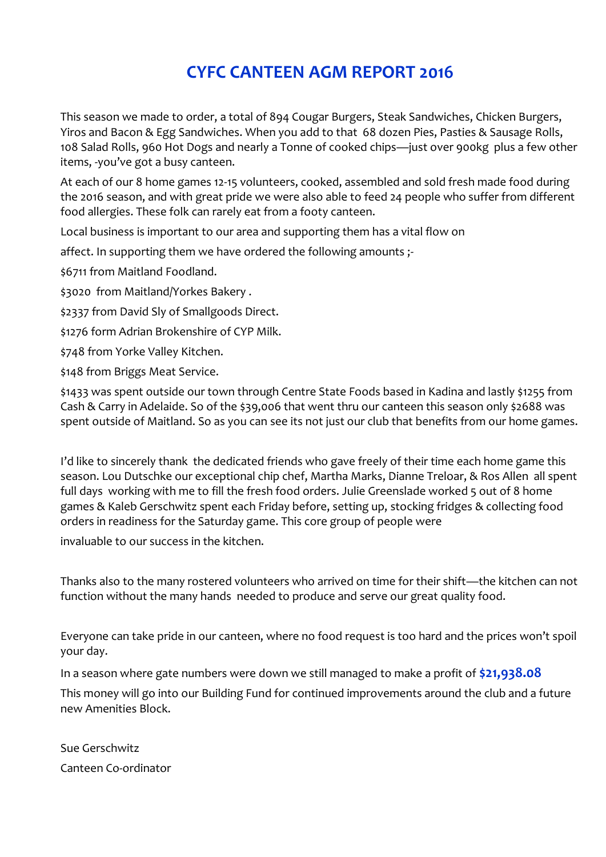## **CYFC CANTEEN AGM REPORT 2016**

This season we made to order, a total of 894 Cougar Burgers, Steak Sandwiches, Chicken Burgers, Yiros and Bacon & Egg Sandwiches. When you add to that 68 dozen Pies, Pasties & Sausage Rolls, 108 Salad Rolls, 960 Hot Dogs and nearly a Tonne of cooked chips—just over 900kg plus a few other items, -you've got a busy canteen.

At each of our 8 home games 12-15 volunteers, cooked, assembled and sold fresh made food during the 2016 season, and with great pride we were also able to feed 24 people who suffer from different food allergies. These folk can rarely eat from a footy canteen.

Local business is important to our area and supporting them has a vital flow on

affect. In supporting them we have ordered the following amounts ;-

\$6711 from Maitland Foodland.

\$3020 from Maitland/Yorkes Bakery .

\$2337 from David Sly of Smallgoods Direct.

\$1276 form Adrian Brokenshire of CYP Milk.

\$748 from Yorke Valley Kitchen.

\$148 from Briggs Meat Service.

\$1433 was spent outside our town through Centre State Foods based in Kadina and lastly \$1255 from Cash & Carry in Adelaide. So of the \$39,006 that went thru our canteen this season only \$2688 was spent outside of Maitland. So as you can see its not just our club that benefits from our home games.

I'd like to sincerely thank the dedicated friends who gave freely of their time each home game this season. Lou Dutschke our exceptional chip chef, Martha Marks, Dianne Treloar, & Ros Allen all spent full days working with me to fill the fresh food orders. Julie Greenslade worked 5 out of 8 home games & Kaleb Gerschwitz spent each Friday before, setting up, stocking fridges & collecting food orders in readiness for the Saturday game. This core group of people were

invaluable to our success in the kitchen.

Thanks also to the many rostered volunteers who arrived on time for their shift—the kitchen can not function without the many hands needed to produce and serve our great quality food.

Everyone can take pride in our canteen, where no food request is too hard and the prices won't spoil your day.

In a season where gate numbers were down we still managed to make a profit of **\$21,938.08**

This money will go into our Building Fund for continued improvements around the club and a future new Amenities Block.

Sue Gerschwitz Canteen Co-ordinator